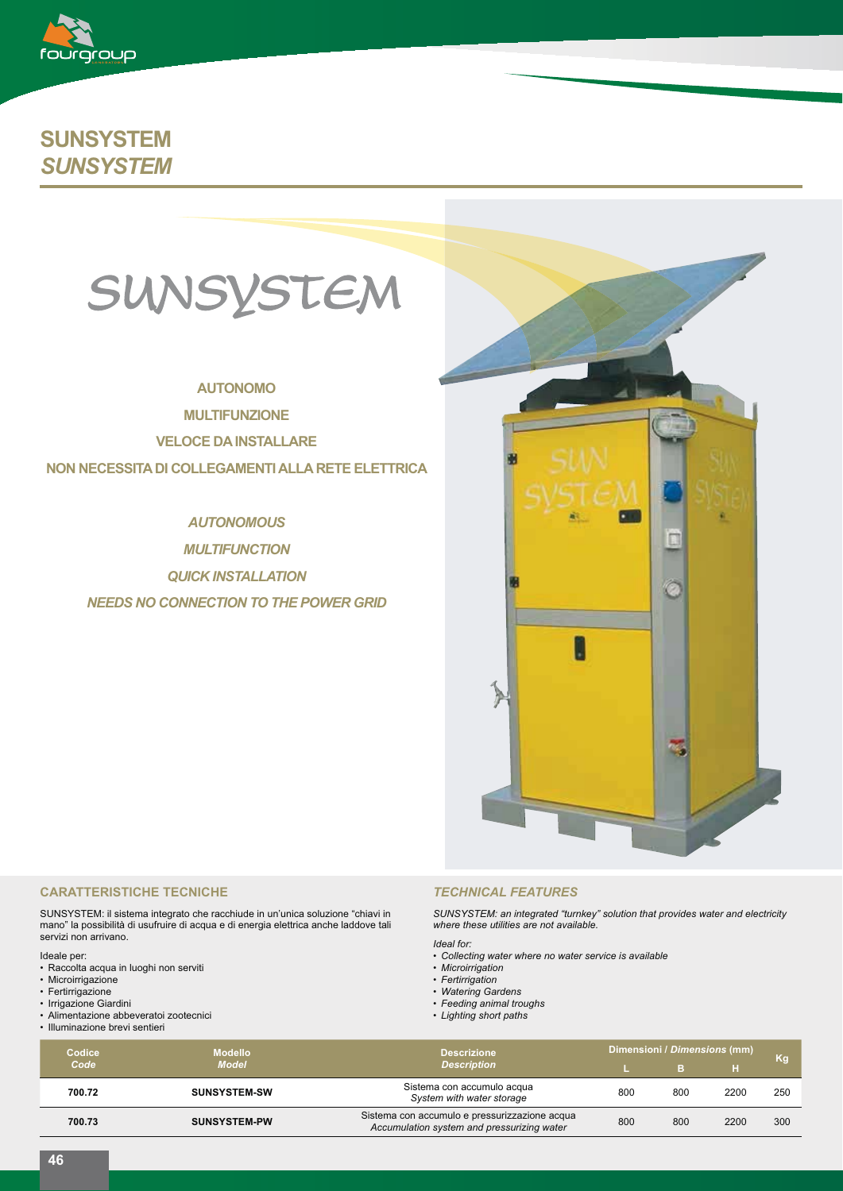

# **SUNSYSTEM** *SUNSYSTEM*



## **AUTONOMO**

**MULTIFUNZIONE**

**VELOCE DA INSTALLARE**

## **NON NECESSITA DI COLLEGAMENTI ALLA RETE ELETTRICA**

# *AUTONOMOUS*

*MULTIFUNCTION QUICK INSTALLATION NEEDS NO CONNECTION TO THE POWER GRID*



#### **CARATTERISTICHE TECNICHE**

SUNSYSTEM: il sistema integrato che racchiude in un'unica soluzione "chiavi in mano" la possibilità di usufruire di acqua e di energia elettrica anche laddove tali servizi non arrivano.

Ideale per:

- Raccolta acqua in luoghi non serviti
- Microirrigazione
- Fertirrigazione
- Irrigazione Giardini • Alimentazione abbeveratoi zootecnici
- Illuminazione brevi sentieri

## *TECHNICAL FEATURES*

*SUNSYSTEM: an integrated "turnkey" solution that provides water and electricity where these utilities are not available.*

*Ideal for:*

- *Collecting water where no water service is available*
- *Microirrigation*
- *Fertirrigation*
- *Watering Gardens*
- *Feeding animal troughs*
- *Lighting short paths*
- 

| <b>Codice</b><br>Code | <b>Modello</b><br><b>Model</b> | <b>Descrizione</b><br><b>Description</b>                                                    | Dimensioni / Dimensions (mm) |     |      | Kq  |
|-----------------------|--------------------------------|---------------------------------------------------------------------------------------------|------------------------------|-----|------|-----|
|                       |                                |                                                                                             |                              |     |      |     |
| 700.72                | <b>SUNSYSTEM-SW</b>            | Sistema con accumulo acqua<br>System with water storage                                     | 800                          | 800 | 2200 | 250 |
| 700.73                | <b>SUNSYSTEM-PW</b>            | Sistema con accumulo e pressurizzazione acqua<br>Accumulation system and pressurizing water | 800                          | 800 | 2200 | 300 |